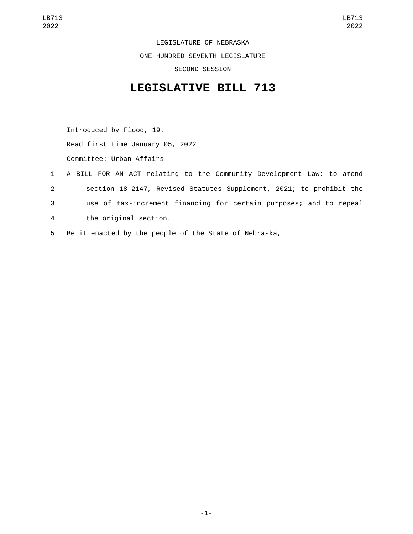LEGISLATURE OF NEBRASKA ONE HUNDRED SEVENTH LEGISLATURE SECOND SESSION

## **LEGISLATIVE BILL 713**

Introduced by Flood, 19. Read first time January 05, 2022 Committee: Urban Affairs

- 1 A BILL FOR AN ACT relating to the Community Development Law; to amend 2 section 18-2147, Revised Statutes Supplement, 2021; to prohibit the 3 use of tax-increment financing for certain purposes; and to repeal the original section.4
- 5 Be it enacted by the people of the State of Nebraska,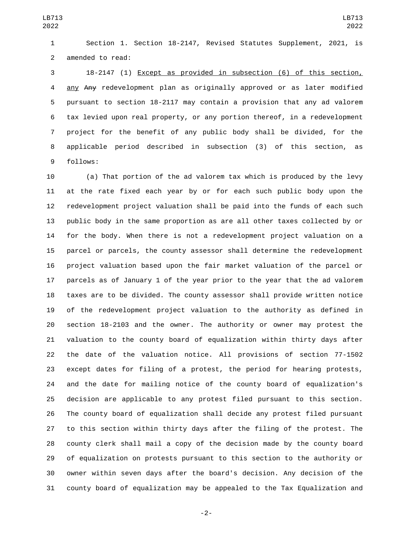Section 1. Section 18-2147, Revised Statutes Supplement, 2021, is 2 amended to read:

 18-2147 (1) Except as provided in subsection (6) of this section, any Any redevelopment plan as originally approved or as later modified pursuant to section 18-2117 may contain a provision that any ad valorem tax levied upon real property, or any portion thereof, in a redevelopment project for the benefit of any public body shall be divided, for the applicable period described in subsection (3) of this section, as 9 follows:

 (a) That portion of the ad valorem tax which is produced by the levy at the rate fixed each year by or for each such public body upon the redevelopment project valuation shall be paid into the funds of each such public body in the same proportion as are all other taxes collected by or for the body. When there is not a redevelopment project valuation on a parcel or parcels, the county assessor shall determine the redevelopment project valuation based upon the fair market valuation of the parcel or parcels as of January 1 of the year prior to the year that the ad valorem taxes are to be divided. The county assessor shall provide written notice of the redevelopment project valuation to the authority as defined in section 18-2103 and the owner. The authority or owner may protest the valuation to the county board of equalization within thirty days after the date of the valuation notice. All provisions of section 77-1502 except dates for filing of a protest, the period for hearing protests, and the date for mailing notice of the county board of equalization's decision are applicable to any protest filed pursuant to this section. The county board of equalization shall decide any protest filed pursuant to this section within thirty days after the filing of the protest. The county clerk shall mail a copy of the decision made by the county board of equalization on protests pursuant to this section to the authority or owner within seven days after the board's decision. Any decision of the county board of equalization may be appealed to the Tax Equalization and

-2-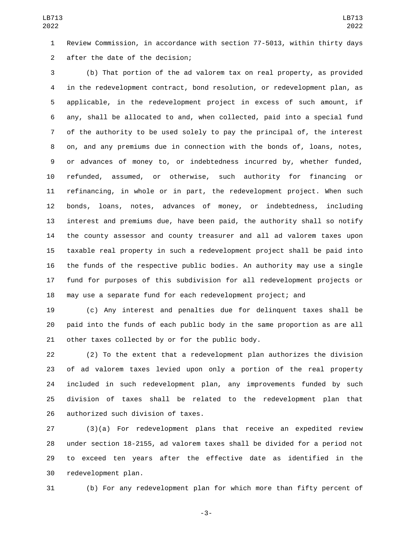Review Commission, in accordance with section 77-5013, within thirty days after the date of the decision;2

 (b) That portion of the ad valorem tax on real property, as provided in the redevelopment contract, bond resolution, or redevelopment plan, as applicable, in the redevelopment project in excess of such amount, if any, shall be allocated to and, when collected, paid into a special fund of the authority to be used solely to pay the principal of, the interest on, and any premiums due in connection with the bonds of, loans, notes, or advances of money to, or indebtedness incurred by, whether funded, refunded, assumed, or otherwise, such authority for financing or refinancing, in whole or in part, the redevelopment project. When such bonds, loans, notes, advances of money, or indebtedness, including interest and premiums due, have been paid, the authority shall so notify the county assessor and county treasurer and all ad valorem taxes upon taxable real property in such a redevelopment project shall be paid into the funds of the respective public bodies. An authority may use a single fund for purposes of this subdivision for all redevelopment projects or may use a separate fund for each redevelopment project; and

 (c) Any interest and penalties due for delinquent taxes shall be paid into the funds of each public body in the same proportion as are all 21 other taxes collected by or for the public body.

 (2) To the extent that a redevelopment plan authorizes the division of ad valorem taxes levied upon only a portion of the real property included in such redevelopment plan, any improvements funded by such division of taxes shall be related to the redevelopment plan that 26 authorized such division of taxes.

 (3)(a) For redevelopment plans that receive an expedited review under section 18-2155, ad valorem taxes shall be divided for a period not to exceed ten years after the effective date as identified in the 30 redevelopment plan.

(b) For any redevelopment plan for which more than fifty percent of

-3-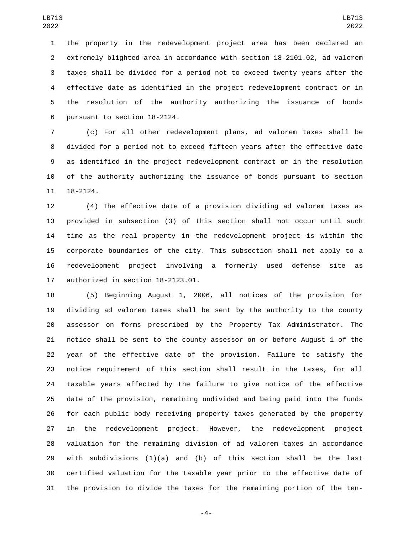the property in the redevelopment project area has been declared an extremely blighted area in accordance with section 18-2101.02, ad valorem taxes shall be divided for a period not to exceed twenty years after the effective date as identified in the project redevelopment contract or in the resolution of the authority authorizing the issuance of bonds 6 pursuant to section 18-2124.

 (c) For all other redevelopment plans, ad valorem taxes shall be divided for a period not to exceed fifteen years after the effective date as identified in the project redevelopment contract or in the resolution of the authority authorizing the issuance of bonds pursuant to section 18-2124.

 (4) The effective date of a provision dividing ad valorem taxes as provided in subsection (3) of this section shall not occur until such time as the real property in the redevelopment project is within the corporate boundaries of the city. This subsection shall not apply to a redevelopment project involving a formerly used defense site as 17 authorized in section 18-2123.01.

 (5) Beginning August 1, 2006, all notices of the provision for dividing ad valorem taxes shall be sent by the authority to the county assessor on forms prescribed by the Property Tax Administrator. The notice shall be sent to the county assessor on or before August 1 of the year of the effective date of the provision. Failure to satisfy the notice requirement of this section shall result in the taxes, for all taxable years affected by the failure to give notice of the effective date of the provision, remaining undivided and being paid into the funds for each public body receiving property taxes generated by the property in the redevelopment project. However, the redevelopment project valuation for the remaining division of ad valorem taxes in accordance 29 with subdivisions  $(1)(a)$  and  $(b)$  of this section shall be the last certified valuation for the taxable year prior to the effective date of the provision to divide the taxes for the remaining portion of the ten-

-4-